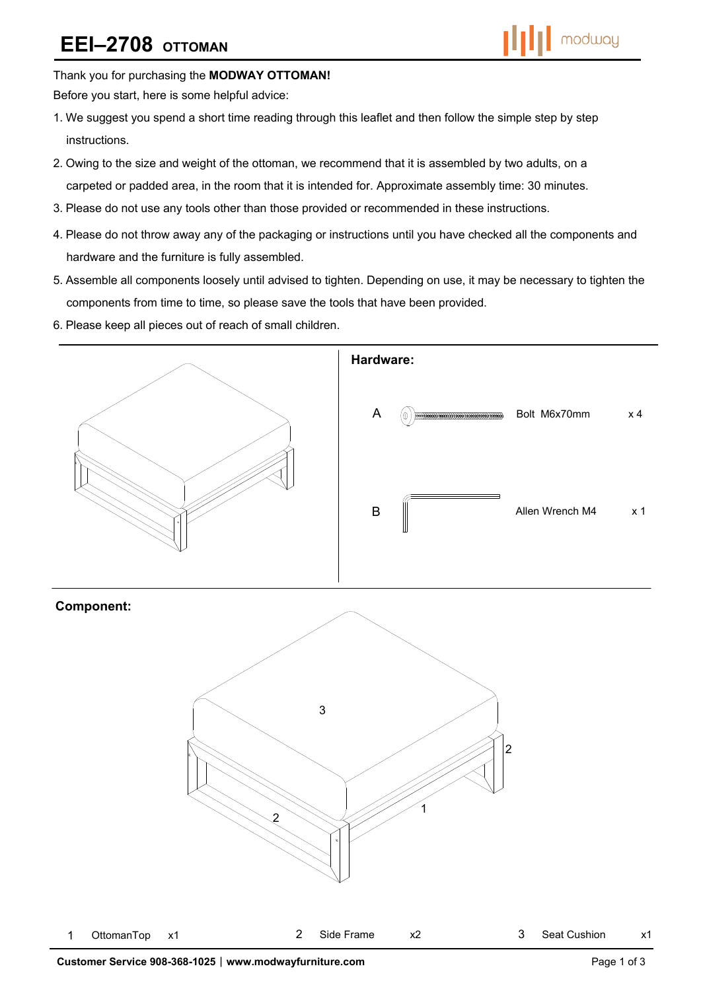# **EEI–2708 OTTOMAN**



Thank you for purchasing the **MODWAY OTTOMAN!** 

Before you start, here is some helpful advice:

- 1.We suggest you spend a short time reading through this leaflet and then follow the simple step by step instructions.
- 2.Owing to the size and weight of the ottoman, we recommend that it is assembled by two adults, on a carpeted or padded area, in the room that it is intended for. Approximate assembly time: 30 minutes.
- 3.Please do not use any tools other than those provided or recommended in these instructions.
- 4.Please do not throw away any of the packaging or instructions until you have checked all the components and hardware and the furniture is fully assembled.
- 5.Assemble all components loosely until advised to tighten. Depending on use, it may be necessary to tighten the components from time to time, so please save the tools that have been provided.
- 6.Please keep all pieces out of reach of small children.



### **Component:**

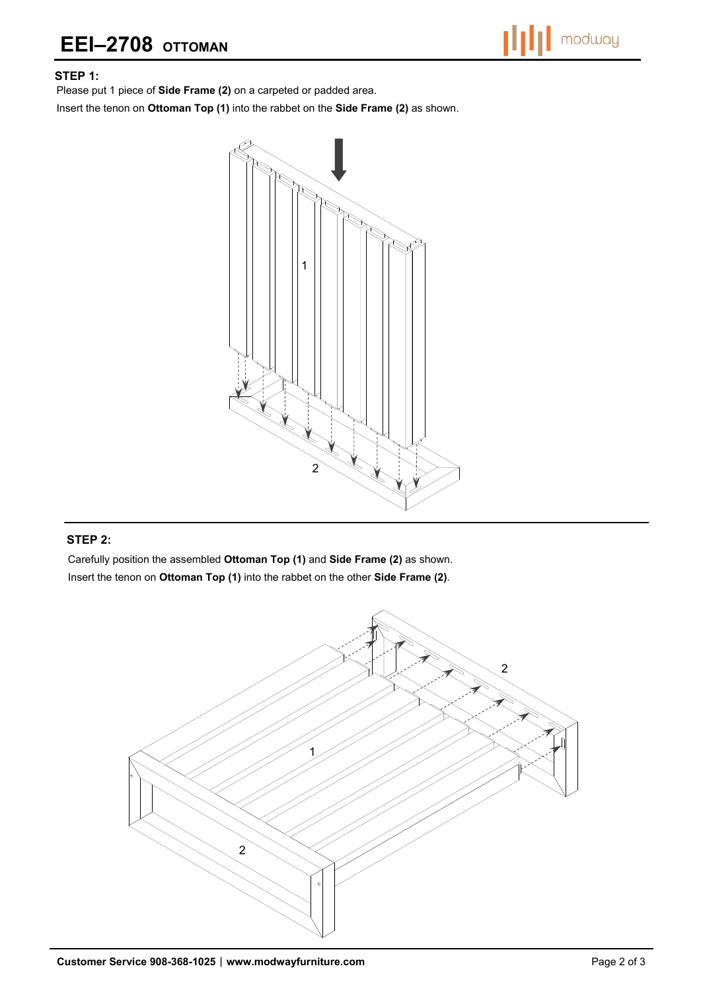# **EEI–2708 OTTOMAN**



#### **STEP 1:**

Please put 1 piece of **Side Frame (2)** on a carpeted or padded area.

Insert the tenon on **Ottoman Top (1)** into the rabbet on the **Side Frame (2)** as shown.



#### **STEP 2:**

Carefully position the assembled **Ottoman Top (1)** and **Side Frame (2)** as shown. Insert the tenon on **Ottoman Top (1)** into the rabbet on the other **Side Frame (2)**.